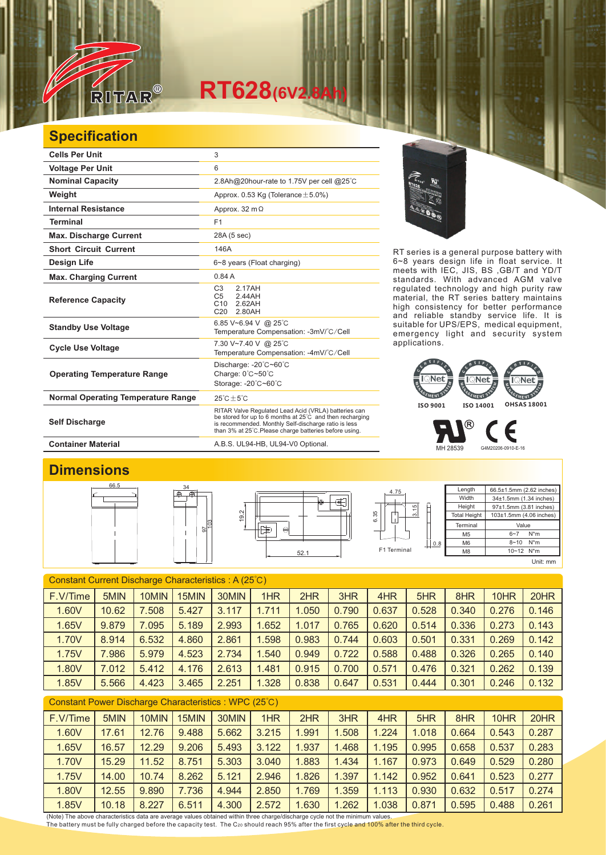

## $RT628$ <sup>(6V2.8</sup>)

## **Specification**

| <b>Cells Per Unit</b>                     | 3                                                                                                                                                                                                                                  |  |  |  |  |
|-------------------------------------------|------------------------------------------------------------------------------------------------------------------------------------------------------------------------------------------------------------------------------------|--|--|--|--|
| <b>Voltage Per Unit</b>                   | 6                                                                                                                                                                                                                                  |  |  |  |  |
| <b>Nominal Capacity</b>                   | 2.8Ah@20hour-rate to 1.75V per cell @25°C                                                                                                                                                                                          |  |  |  |  |
| Weight                                    | Approx. 0.53 Kg (Tolerance $\pm$ 5.0%)                                                                                                                                                                                             |  |  |  |  |
| <b>Internal Resistance</b>                | Approx. 32 m $\Omega$                                                                                                                                                                                                              |  |  |  |  |
| <b>Terminal</b>                           | F1                                                                                                                                                                                                                                 |  |  |  |  |
| <b>Max. Discharge Current</b>             | 28A (5 sec)                                                                                                                                                                                                                        |  |  |  |  |
| <b>Short Circuit Current</b>              | 146A                                                                                                                                                                                                                               |  |  |  |  |
| Design Life                               | 6~8 years (Float charging)                                                                                                                                                                                                         |  |  |  |  |
| <b>Max. Charging Current</b>              | 0.84A                                                                                                                                                                                                                              |  |  |  |  |
| <b>Reference Capacity</b>                 | C <sub>3</sub><br>2 17AH<br>2.44AH<br>C <sub>5</sub><br>2.62AH<br>C <sub>10</sub><br>C <sub>20</sub><br>2.80AH                                                                                                                     |  |  |  |  |
| <b>Standby Use Voltage</b>                | 6.85 V~6.94 V @ 25°C<br>Temperature Compensation: -3mV/°C/Cell                                                                                                                                                                     |  |  |  |  |
| <b>Cycle Use Voltage</b>                  | 7.30 V~7.40 V @ 25°C<br>Temperature Compensation: -4mV/°C/Cell                                                                                                                                                                     |  |  |  |  |
| <b>Operating Temperature Range</b>        | Discharge: -20°C~60°C<br>Charge: $0^{\circ}$ C $\sim$ 50 $^{\circ}$ C<br>Storage: - 20°C~60°C                                                                                                                                      |  |  |  |  |
| <b>Normal Operating Temperature Range</b> | $25^{\circ}$ C + 5 $^{\circ}$ C                                                                                                                                                                                                    |  |  |  |  |
| <b>Self Discharge</b>                     | RITAR Valve Regulated Lead Acid (VRLA) batteries can<br>be stored for up to 6 months at 25°C and then recharging<br>is recommended. Monthly Self-discharge ratio is less<br>than 3% at 25°C. Please charge batteries before using. |  |  |  |  |

RT series is a general purpose battery with 6~8 years design life in float service. It meets with IEC, JIS, BS ,GB/T and YD/T standards. With advanced AGM valve regulated technology and high purity raw material, the RT series battery maintains high consistency for better performance and reliable standby service life. It is suitable for UPS/EPS, medical equipment, emergency light and security system applications.



® Е MH 28539 G4M20206-0910-E-16

Container Material **Container Material** A.B.S. UL94-HB, UL94-V0 Optional.

## **Dimensions**



| Constant Current Discharge Characteristics: A (25°C) |       |       |       |       |       |       |       |       |       |       |       |       |
|------------------------------------------------------|-------|-------|-------|-------|-------|-------|-------|-------|-------|-------|-------|-------|
| F.V/Time                                             | 5MIN  | 10MIN | 15MIN | 30MIN | 1HR   | 2HR   | 3HR   | 4HR   | 5HR   | 8HR   | 10HR  | 20HR  |
| 1.60V                                                | 10.62 | 7.508 | 5.427 | 3.117 | 1.711 | 1.050 | 0.790 | 0.637 | 0.528 | 0.340 | 0.276 | 0.146 |
| 1.65V                                                | 9.879 | 7.095 | 5.189 | 2.993 | 1.652 | 1.017 | 0.765 | 0.620 | 0.514 | 0.336 | 0.273 | 0.143 |
| 1.70V                                                | 8.914 | 6.532 | 4.860 | 2.861 | 1.598 | 0.983 | 0.744 | 0.603 | 0.501 | 0.331 | 0.269 | 0.142 |
| 1.75V                                                | .986  | 5.979 | 4.523 | 2.734 | 1.540 | 0.949 | 0.722 | 0.588 | 0.488 | 0.326 | 0.265 | 0.140 |
| 1.80V                                                | 7.012 | 5.412 | 4.176 | 2.613 | 1.481 | 0.915 | 0.700 | 0.571 | 0.476 | 0.321 | 0.262 | 0.139 |
| 1.85V                                                | 5.566 | 4.423 | 3.465 | 2.251 | 1.328 | 0.838 | 0.647 | 0.531 | 0.444 | 0.301 | 0.246 | 0.132 |
|                                                      |       |       |       |       |       |       |       |       |       |       |       |       |

| Constant Power Discharge Characteristics: WPC (25°C) |       |       |       |       |       |       |       |       |       |       |       |       |
|------------------------------------------------------|-------|-------|-------|-------|-------|-------|-------|-------|-------|-------|-------|-------|
| F.V/Time                                             | 5MIN  | 10MIN | 15MIN | 30MIN | 1HR   | 2HR   | 3HR   | 4HR   | 5HR   | 8HR   | 10HR  | 20HR  |
| 1.60V                                                | 17.61 | 12.76 | 9.488 | 5.662 | 3.215 | 1.991 | .508  | 1.224 | 1.018 | 0.664 | 0.543 | 0.287 |
| 1.65V                                                | 16.57 | 12.29 | 9.206 | 5.493 | 3.122 | 1.937 | .468  | 1.195 | 0.995 | 0.658 | 0.537 | 0.283 |
| 1.70V                                                | 15.29 | 11.52 | 8.751 | 5.303 | 3.040 | 1.883 | .434  | 1.167 | 0.973 | 0.649 | 0.529 | 0.280 |
| 1.75V                                                | 14.00 | 10.74 | 8.262 | 5.121 | 2.946 | 1.826 | 1.397 | 1.142 | 0.952 | 0.641 | 0.523 | 0.277 |
| 1.80V                                                | 12.55 | 9.890 | 7.736 | 4.944 | 2.850 | 1.769 | .359  | 1.113 | 0.930 | 0.632 | 0.517 | 0.274 |
| 1.85V                                                | 10.18 | 8.227 | 6.511 | 4.300 | 2.572 | 1.630 | .262  | 1.038 | 0.871 | 0.595 | 0.488 | 0.261 |

(Note) The above characteristics data are average values obtained within three charge/discharge cycle not the minimum values. The battery must be fully charged before the capacity test. The C<sub>20</sub> should reach 95% after the first cycle and 100% after the third cycle.